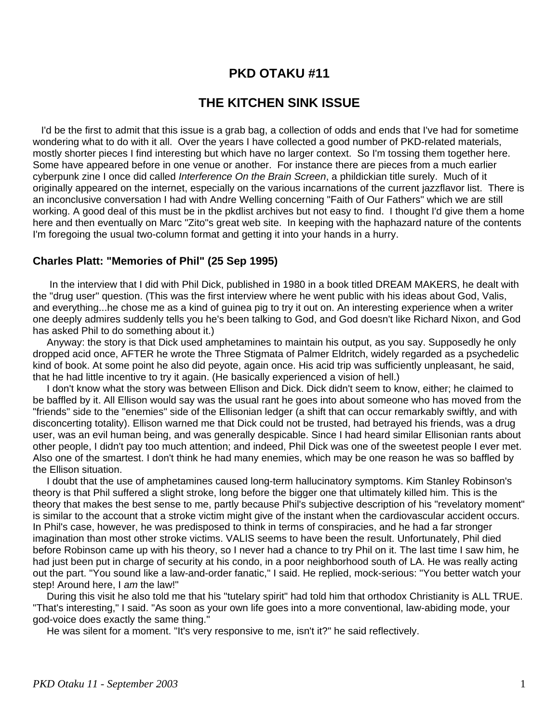# **PKD OTAKU #11**

# **THE KITCHEN SINK ISSUE**

 I'd be the first to admit that this issue is a grab bag, a collection of odds and ends that I've had for sometime wondering what to do with it all. Over the years I have collected a good number of PKD-related materials, mostly shorter pieces I find interesting but which have no larger context. So I'm tossing them together here. Some have appeared before in one venue or another. For instance there are pieces from a much earlier cyberpunk zine I once did called *Interference On the Brain Screen*, a phildickian title surely. Much of it originally appeared on the internet, especially on the various incarnations of the current jazzflavor list. There is an inconclusive conversation I had with Andre Welling concerning "Faith of Our Fathers" which we are still working. A good deal of this must be in the pkdlist archives but not easy to find. I thought I'd give them a home here and then eventually on Marc "Zito"s great web site. In keeping with the haphazard nature of the contents I'm foregoing the usual two-column format and getting it into your hands in a hurry.

### **Charles Platt: "Memories of Phil" (25 Sep 1995)**

 In the interview that I did with Phil Dick, published in 1980 in a book titled DREAM MAKERS, he dealt with the "drug user" question. (This was the first interview where he went public with his ideas about God, Valis, and everything...he chose me as a kind of guinea pig to try it out on. An interesting experience when a writer one deeply admires suddenly tells you he's been talking to God, and God doesn't like Richard Nixon, and God has asked Phil to do something about it.)

 Anyway: the story is that Dick used amphetamines to maintain his output, as you say. Supposedly he only dropped acid once, AFTER he wrote the Three Stigmata of Palmer Eldritch, widely regarded as a psychedelic kind of book. At some point he also did peyote, again once. His acid trip was sufficiently unpleasant, he said, that he had little incentive to try it again. (He basically experienced a vision of hell.)

 I don't know what the story was between Ellison and Dick. Dick didn't seem to know, either; he claimed to be baffled by it. All Ellison would say was the usual rant he goes into about someone who has moved from the "friends" side to the "enemies" side of the Ellisonian ledger (a shift that can occur remarkably swiftly, and with disconcerting totality). Ellison warned me that Dick could not be trusted, had betrayed his friends, was a drug user, was an evil human being, and was generally despicable. Since I had heard similar Ellisonian rants about other people, I didn't pay too much attention; and indeed, Phil Dick was one of the sweetest people I ever met. Also one of the smartest. I don't think he had many enemies, which may be one reason he was so baffled by the Ellison situation.

 I doubt that the use of amphetamines caused long-term hallucinatory symptoms. Kim Stanley Robinson's theory is that Phil suffered a slight stroke, long before the bigger one that ultimately killed him. This is the theory that makes the best sense to me, partly because Phil's subjective description of his "revelatory moment" is similar to the account that a stroke victim might give of the instant when the cardiovascular accident occurs. In Phil's case, however, he was predisposed to think in terms of conspiracies, and he had a far stronger imagination than most other stroke victims. VALIS seems to have been the result. Unfortunately, Phil died before Robinson came up with his theory, so I never had a chance to try Phil on it. The last time I saw him, he had just been put in charge of security at his condo, in a poor neighborhood south of LA. He was really acting out the part. "You sound like a law-and-order fanatic," I said. He replied, mock-serious: "You better watch your step! Around here, I *am* the law!"

 During this visit he also told me that his "tutelary spirit" had told him that orthodox Christianity is ALL TRUE. "That's interesting," I said. "As soon as your own life goes into a more conventional, law-abiding mode, your god-voice does exactly the same thing."

He was silent for a moment. "It's very responsive to me, isn't it?" he said reflectively.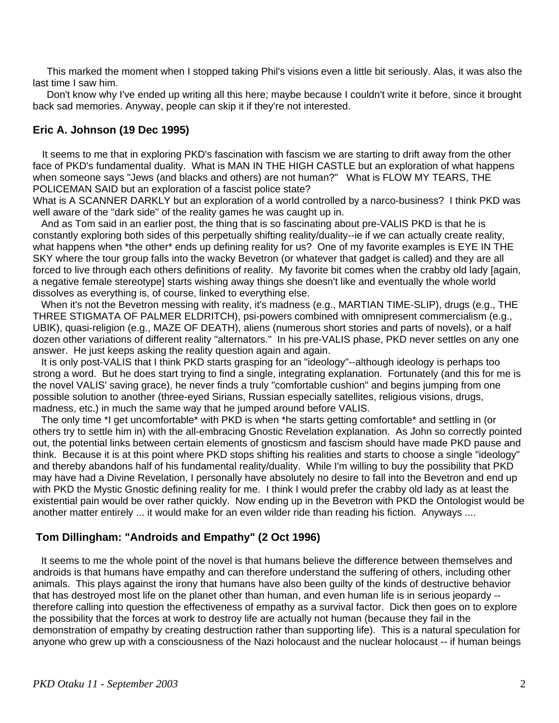This marked the moment when I stopped taking Phil's visions even a little bit seriously. Alas, it was also the last time I saw him.

 Don't know why I've ended up writing all this here; maybe because I couldn't write it before, since it brought back sad memories. Anyway, people can skip it if they're not interested.

## **Eric A. Johnson (19 Dec 1995)**

 It seems to me that in exploring PKD's fascination with fascism we are starting to drift away from the other face of PKD's fundamental duality. What is MAN IN THE HIGH CASTLE but an exploration of what happens when someone says "Jews (and blacks and others) are not human?" What is FLOW MY TEARS, THE POLICEMAN SAID but an exploration of a fascist police state?

What is A SCANNER DARKLY but an exploration of a world controlled by a narco-business? I think PKD was well aware of the "dark side" of the reality games he was caught up in.

 And as Tom said in an earlier post, the thing that is so fascinating about pre-VALIS PKD is that he is constantly exploring both sides of this perpetually shifting reality/duality--ie if we can actually create reality, what happens when \*the other\* ends up defining reality for us? One of my favorite examples is EYE IN THE SKY where the tour group falls into the wacky Bevetron (or whatever that gadget is called) and they are all forced to live through each others definitions of reality. My favorite bit comes when the crabby old lady lagain. a negative female stereotype] starts wishing away things she doesn't like and eventually the whole world dissolves as everything is, of course, linked to everything else.

 When it's not the Bevetron messing with reality, it's madness (e.g., MARTIAN TIME-SLIP), drugs (e.g., THE THREE STIGMATA OF PALMER ELDRITCH), psi-powers combined with omnipresent commercialism (e.g., UBIK), quasi-religion (e.g., MAZE OF DEATH), aliens (numerous short stories and parts of novels), or a half dozen other variations of different reality "alternators." In his pre-VALIS phase, PKD never settles on any one answer. He just keeps asking the reality question again and again.

 It is only post-VALIS that I think PKD starts grasping for an "ideology"--although ideology is perhaps too strong a word. But he does start trying to find a single, integrating explanation. Fortunately (and this for me is the novel VALIS' saving grace), he never finds a truly "comfortable cushion" and begins jumping from one possible solution to another (three-eyed Sirians, Russian especially satellites, religious visions, drugs, madness, etc.) in much the same way that he jumped around before VALIS.

 The only time \*I get uncomfortable\* with PKD is when \*he starts getting comfortable\* and settling in (or others try to settle him in) with the all-embracing Gnostic Revelation explanation. As John so correctly pointed out, the potential links between certain elements of gnosticsm and fascism should have made PKD pause and think. Because it is at this point where PKD stops shifting his realities and starts to choose a single "ideology" and thereby abandons half of his fundamental reality/duality. While I'm willing to buy the possibility that PKD may have had a Divine Revelation, I personally have absolutely no desire to fall into the Bevetron and end up with PKD the Mystic Gnostic defining reality for me. I think I would prefer the crabby old lady as at least the existential pain would be over rather quickly. Now ending up in the Bevetron with PKD the Ontologist would be another matter entirely ... it would make for an even wilder ride than reading his fiction. Anyways ....

## **Tom Dillingham: "Androids and Empathy" (2 Oct 1996)**

 It seems to me the whole point of the novel is that humans believe the difference between themselves and androids is that humans have empathy and can therefore understand the suffering of others, including other animals. This plays against the irony that humans have also been guilty of the kinds of destructive behavior that has destroyed most life on the planet other than human, and even human life is in serious jeopardy - therefore calling into question the effectiveness of empathy as a survival factor. Dick then goes on to explore the possibility that the forces at work to destroy life are actually not human (because they fail in the demonstration of empathy by creating destruction rather than supporting life). This is a natural speculation for anyone who grew up with a consciousness of the Nazi holocaust and the nuclear holocaust -- if human beings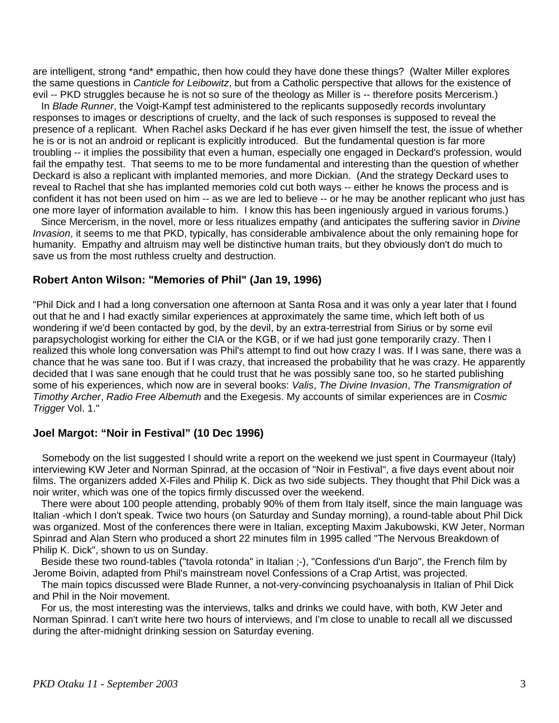are intelligent, strong \*and\* empathic, then how could they have done these things? (Walter Miller explores the same questions in *Canticle for Leibowitz*, but from a Catholic perspective that allows for the existence of evil -- PKD struggles because he is not so sure of the theology as Miller is -- therefore posits Mercerism.)

 In *Blade Runner*, the Voigt-Kampf test administered to the replicants supposedly records involuntary responses to images or descriptions of cruelty, and the lack of such responses is supposed to reveal the presence of a replicant. When Rachel asks Deckard if he has ever given himself the test, the issue of whether he is or is not an android or replicant is explicitly introduced. But the fundamental question is far more troubling -- it implies the possibility that even a human, especially one engaged in Deckard's profession, would fail the empathy test. That seems to me to be more fundamental and interesting than the question of whether Deckard is also a replicant with implanted memories, and more Dickian. (And the strategy Deckard uses to reveal to Rachel that she has implanted memories cold cut both ways -- either he knows the process and is confident it has not been used on him -- as we are led to believe -- or he may be another replicant who just has one more layer of information available to him. I know this has been ingeniously argued in various forums.)

 Since Mercerism, in the novel, more or less ritualizes empathy (and anticipates the suffering savior in *Divine Invasion*, it seems to me that PKD, typically, has considerable ambivalence about the only remaining hope for humanity. Empathy and altruism may well be distinctive human traits, but they obviously don't do much to save us from the most ruthless cruelty and destruction.

## **Robert Anton Wilson: "Memories of Phil" (Jan 19, 1996)**

"Phil Dick and I had a long conversation one afternoon at Santa Rosa and it was only a year later that I found out that he and I had exactly similar experiences at approximately the same time, which left both of us wondering if we'd been contacted by god, by the devil, by an extra-terrestrial from Sirius or by some evil parapsychologist working for either the CIA or the KGB, or if we had just gone temporarily crazy. Then I realized this whole long conversation was Phil's attempt to find out how crazy I was. If I was sane, there was a chance that he was sane too. But if I was crazy, that increased the probability that he was crazy. He apparently decided that I was sane enough that he could trust that he was possibly sane too, so he started publishing some of his experiences, which now are in several books: *Valis*, *The Divine Invasion*, *The Transmigration of Timothy Archer*, *Radio Free Albemuth* and the Exegesis. My accounts of similar experiences are in *Cosmic Trigger* Vol. 1."

## **Joel Margot: "Noir in Festival" (10 Dec 1996)**

Somebody on the list suggested I should write a report on the weekend we just spent in Courmayeur (Italy) interviewing KW Jeter and Norman Spinrad, at the occasion of "Noir in Festival", a five days event about noir films. The organizers added X-Files and Philip K. Dick as two side subjects. They thought that Phil Dick was a noir writer, which was one of the topics firmly discussed over the weekend.

 There were about 100 people attending, probably 90% of them from Italy itself, since the main language was Italian -which I don't speak. Twice two hours (on Saturday and Sunday morning), a round-table about Phil Dick was organized. Most of the conferences there were in Italian, excepting Maxim Jakubowski, KW Jeter, Norman Spinrad and Alan Stern who produced a short 22 minutes film in 1995 called "The Nervous Breakdown of Philip K. Dick", shown to us on Sunday.

 Beside these two round-tables ("tavola rotonda" in Italian ;-), "Confessions d'un Barjo", the French film by Jerome Boivin, adapted from Phil's mainstream novel Confessions of a Crap Artist, was projected.

 The main topics discussed were Blade Runner, a not-very-convincing psychoanalysis in Italian of Phil Dick and Phil in the Noir movement.

 For us, the most interesting was the interviews, talks and drinks we could have, with both, KW Jeter and Norman Spinrad. I can't write here two hours of interviews, and I'm close to unable to recall all we discussed during the after-midnight drinking session on Saturday evening.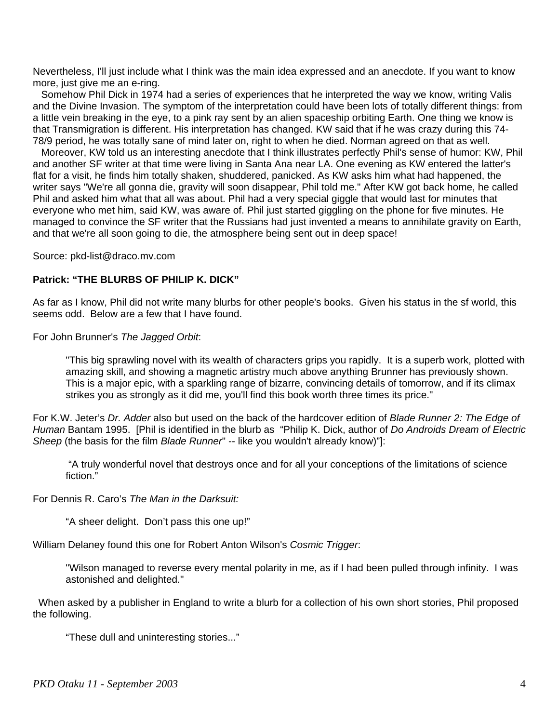Nevertheless, I'll just include what I think was the main idea expressed and an anecdote. If you want to know more, just give me an e-ring.

 Somehow Phil Dick in 1974 had a series of experiences that he interpreted the way we know, writing Valis and the Divine Invasion. The symptom of the interpretation could have been lots of totally different things: from a little vein breaking in the eye, to a pink ray sent by an alien spaceship orbiting Earth. One thing we know is that Transmigration is different. His interpretation has changed. KW said that if he was crazy during this 74- 78/9 period, he was totally sane of mind later on, right to when he died. Norman agreed on that as well.

 Moreover, KW told us an interesting anecdote that I think illustrates perfectly Phil's sense of humor: KW, Phil and another SF writer at that time were living in Santa Ana near LA. One evening as KW entered the latter's flat for a visit, he finds him totally shaken, shuddered, panicked. As KW asks him what had happened, the writer says "We're all gonna die, gravity will soon disappear, Phil told me." After KW got back home, he called Phil and asked him what that all was about. Phil had a very special giggle that would last for minutes that everyone who met him, said KW, was aware of. Phil just started giggling on the phone for five minutes. He managed to convince the SF writer that the Russians had just invented a means to annihilate gravity on Earth, and that we're all soon going to die, the atmosphere being sent out in deep space!

Source: pkd-list@draco.mv.com

#### **Patrick: "THE BLURBS OF PHILIP K. DICK"**

As far as I know, Phil did not write many blurbs for other people's books. Given his status in the sf world, this seems odd. Below are a few that I have found.

For John Brunner's *The Jagged Orbit*:

"This big sprawling novel with its wealth of characters grips you rapidly. It is a superb work, plotted with amazing skill, and showing a magnetic artistry much above anything Brunner has previously shown. This is a major epic, with a sparkling range of bizarre, convincing details of tomorrow, and if its climax strikes you as strongly as it did me, you'll find this book worth three times its price."

For K.W. Jeter's *Dr. Adder* also but used on the back of the hardcover edition of *Blade Runner 2: The Edge of Human* Bantam 1995. [Phil is identified in the blurb as "Philip K. Dick, author of *Do Androids Dream of Electric Sheep* (the basis for the film *Blade Runner*" -- like you wouldn't already know)"]:

"A truly wonderful novel that destroys once and for all your conceptions of the limitations of science fiction."

For Dennis R. Caro's *The Man in the Darksuit:* 

"A sheer delight. Don't pass this one up!"

William Delaney found this one for Robert Anton Wilson's *Cosmic Trigger*:

"Wilson managed to reverse every mental polarity in me, as if I had been pulled through infinity. I was astonished and delighted."

 When asked by a publisher in England to write a blurb for a collection of his own short stories, Phil proposed the following.

"These dull and uninteresting stories..."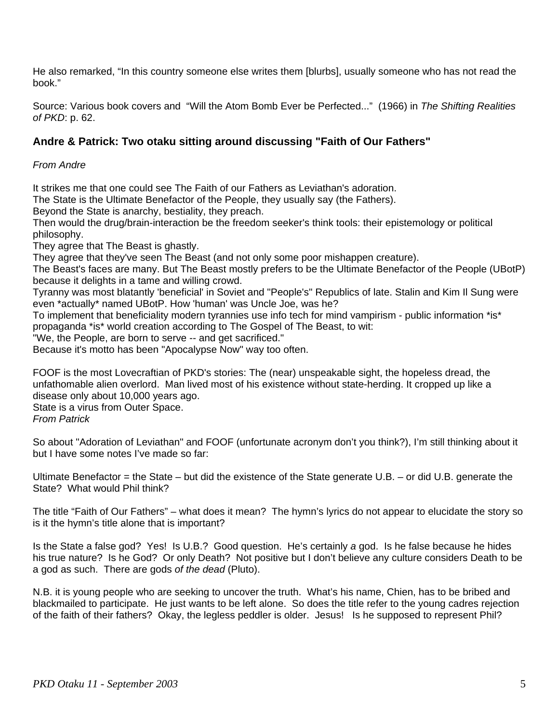He also remarked, "In this country someone else writes them [blurbs], usually someone who has not read the book."

Source: Various book covers and "Will the Atom Bomb Ever be Perfected..." (1966) in *The Shifting Realities of PKD*: p. 62.

# **Andre & Patrick: Two otaku sitting around discussing "Faith of Our Fathers"**

## *From Andre*

It strikes me that one could see The Faith of our Fathers as Leviathan's adoration.

The State is the Ultimate Benefactor of the People, they usually say (the Fathers).

Beyond the State is anarchy, bestiality, they preach.

Then would the drug/brain-interaction be the freedom seeker's think tools: their epistemology or political philosophy.

They agree that The Beast is ghastly.

They agree that they've seen The Beast (and not only some poor mishappen creature).

The Beast's faces are many. But The Beast mostly prefers to be the Ultimate Benefactor of the People (UBotP) because it delights in a tame and willing crowd.

Tyranny was most blatantly 'beneficial' in Soviet and "People's" Republics of late. Stalin and Kim Il Sung were even \*actually\* named UBotP. How 'human' was Uncle Joe, was he?

To implement that beneficiality modern tyrannies use info tech for mind vampirism - public information \*is\* propaganda \*is\* world creation according to The Gospel of The Beast, to wit:

"We, the People, are born to serve -- and get sacrificed."

Because it's motto has been "Apocalypse Now" way too often.

FOOF is the most Lovecraftian of PKD's stories: The (near) unspeakable sight, the hopeless dread, the unfathomable alien overlord. Man lived most of his existence without state-herding. It cropped up like a disease only about 10,000 years ago.

State is a virus from Outer Space.

# *From Patrick*

So about "Adoration of Leviathan" and FOOF (unfortunate acronym don't you think?), I'm still thinking about it but I have some notes I've made so far:

Ultimate Benefactor = the State – but did the existence of the State generate U.B. – or did U.B. generate the State? What would Phil think?

The title "Faith of Our Fathers" – what does it mean? The hymn's lyrics do not appear to elucidate the story so is it the hymn's title alone that is important?

Is the State a false god? Yes! Is U.B.? Good question. He's certainly *a* god. Is he false because he hides his true nature? Is he God? Or only Death? Not positive but I don't believe any culture considers Death to be a god as such. There are gods *of the dead* (Pluto).

N.B. it is young people who are seeking to uncover the truth. What's his name, Chien, has to be bribed and blackmailed to participate. He just wants to be left alone. So does the title refer to the young cadres rejection of the faith of their fathers? Okay, the legless peddler is older. Jesus! Is he supposed to represent Phil?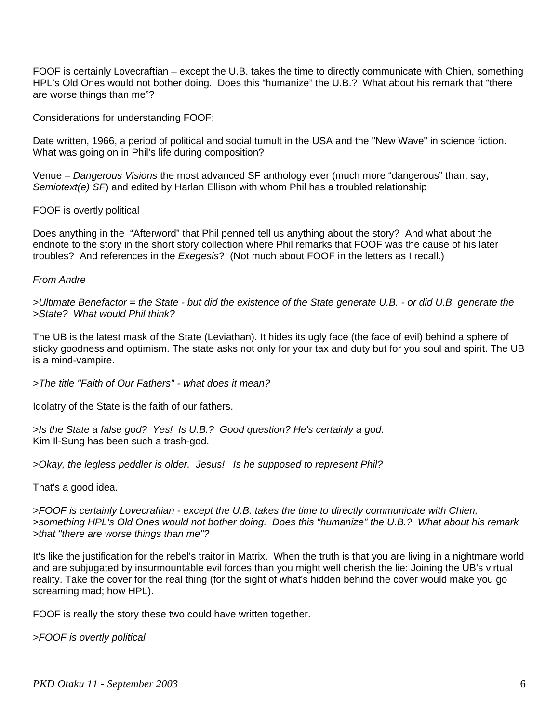FOOF is certainly Lovecraftian – except the U.B. takes the time to directly communicate with Chien, something HPL's Old Ones would not bother doing. Does this "humanize" the U.B.? What about his remark that "there are worse things than me"?

Considerations for understanding FOOF:

Date written, 1966, a period of political and social tumult in the USA and the "New Wave" in science fiction. What was going on in Phil's life during composition?

Venue – *Dangerous Visions* the most advanced SF anthology ever (much more "dangerous" than, say, *Semiotext(e) SF*) and edited by Harlan Ellison with whom Phil has a troubled relationship

FOOF is overtly political

Does anything in the "Afterword" that Phil penned tell us anything about the story? And what about the endnote to the story in the short story collection where Phil remarks that FOOF was the cause of his later troubles? And references in the *Exegesis*? (Not much about FOOF in the letters as I recall.)

#### *From Andre*

*>Ultimate Benefactor = the State - but did the existence of the State generate U.B. - or did U.B. generate the >State? What would Phil think?* 

The UB is the latest mask of the State (Leviathan). It hides its ugly face (the face of evil) behind a sphere of sticky goodness and optimism. The state asks not only for your tax and duty but for you soul and spirit. The UB is a mind-vampire.

*>The title "Faith of Our Fathers" - what does it mean?* 

Idolatry of the State is the faith of our fathers.

*>Is the State a false god? Yes! Is U.B.? Good question? He's certainly a god.*  Kim Il-Sung has been such a trash-god.

*>Okay, the legless peddler is older. Jesus! Is he supposed to represent Phil?* 

That's a good idea.

*>FOOF is certainly Lovecraftian - except the U.B. takes the time to directly communicate with Chien, >something HPL's Old Ones would not bother doing. Does this "humanize" the U.B.? What about his remark >that "there are worse things than me"?* 

It's like the justification for the rebel's traitor in Matrix. When the truth is that you are living in a nightmare world and are subjugated by insurmountable evil forces than you might well cherish the lie: Joining the UB's virtual reality. Take the cover for the real thing (for the sight of what's hidden behind the cover would make you go screaming mad; how HPL).

FOOF is really the story these two could have written together.

*>FOOF is overtly political*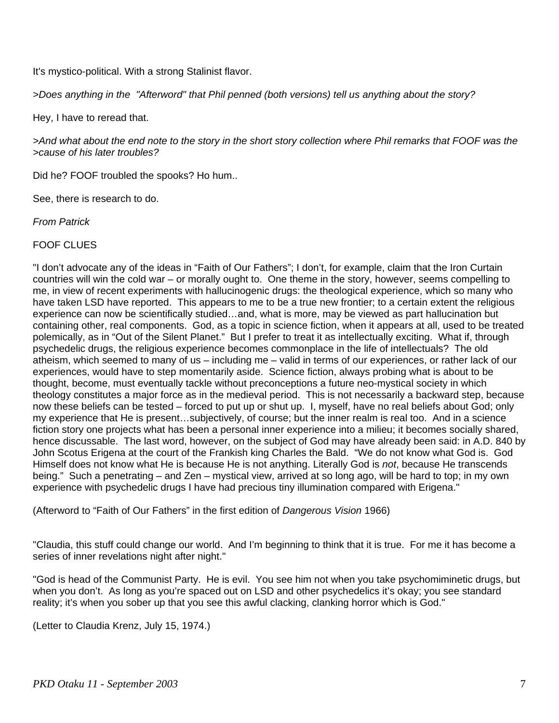It's mystico-political. With a strong Stalinist flavor.

*>Does anything in the "Afterword" that Phil penned (both versions) tell us anything about the story?* 

Hey, I have to reread that.

*>And what about the end note to the story in the short story collection where Phil remarks that FOOF was the >cause of his later troubles?* 

Did he? FOOF troubled the spooks? Ho hum..

See, there is research to do.

*From Patrick* 

FOOF CLUES

"I don't advocate any of the ideas in "Faith of Our Fathers"; I don't, for example, claim that the Iron Curtain countries will win the cold war – or morally ought to. One theme in the story, however, seems compelling to me, in view of recent experiments with hallucinogenic drugs: the theological experience, which so many who have taken LSD have reported. This appears to me to be a true new frontier; to a certain extent the religious experience can now be scientifically studied…and, what is more, may be viewed as part hallucination but containing other, real components. God, as a topic in science fiction, when it appears at all, used to be treated polemically, as in "Out of the Silent Planet." But I prefer to treat it as intellectually exciting. What if, through psychedelic drugs, the religious experience becomes commonplace in the life of intellectuals? The old atheism, which seemed to many of us – including me – valid in terms of our experiences, or rather lack of our experiences, would have to step momentarily aside. Science fiction, always probing what is about to be thought, become, must eventually tackle without preconceptions a future neo-mystical society in which theology constitutes a major force as in the medieval period. This is not necessarily a backward step, because now these beliefs can be tested – forced to put up or shut up. I, myself, have no real beliefs about God; only my experience that He is present…subjectively, of course; but the inner realm is real too. And in a science fiction story one projects what has been a personal inner experience into a milieu; it becomes socially shared, hence discussable. The last word, however, on the subject of God may have already been said: in A.D. 840 by John Scotus Erigena at the court of the Frankish king Charles the Bald. "We do not know what God is. God Himself does not know what He is because He is not anything. Literally God is *not*, because He transcends being." Such a penetrating – and Zen – mystical view, arrived at so long ago, will be hard to top; in my own experience with psychedelic drugs I have had precious tiny illumination compared with Erigena."

(Afterword to "Faith of Our Fathers" in the first edition of *Dangerous Vision* 1966)

"Claudia, this stuff could change our world. And I'm beginning to think that it is true. For me it has become a series of inner revelations night after night."

"God is head of the Communist Party. He is evil. You see him not when you take psychomiminetic drugs, but when you don't. As long as you're spaced out on LSD and other psychedelics it's okay; you see standard reality; it's when you sober up that you see this awful clacking, clanking horror which is God."

(Letter to Claudia Krenz, July 15, 1974.)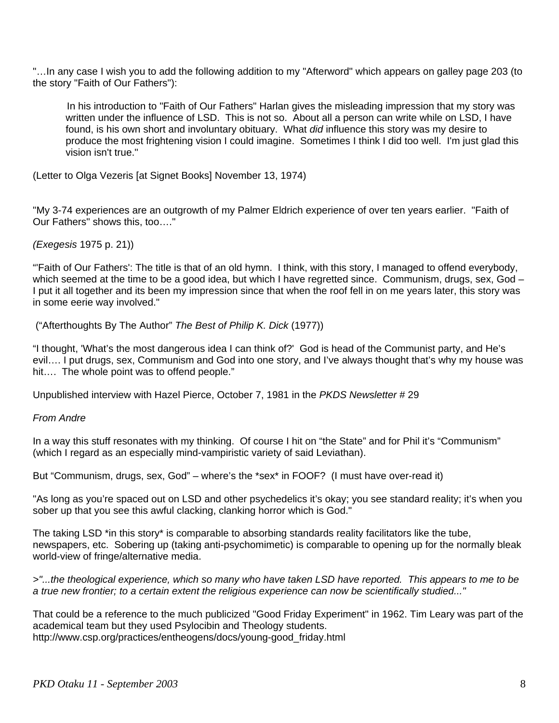"…In any case I wish you to add the following addition to my "Afterword" which appears on galley page 203 (to the story "Faith of Our Fathers"):

In his introduction to "Faith of Our Fathers" Harlan gives the misleading impression that my story was written under the influence of LSD. This is not so. About all a person can write while on LSD, I have found, is his own short and involuntary obituary. What *did* influence this story was my desire to produce the most frightening vision I could imagine. Sometimes I think I did too well. I'm just glad this vision isn't true."

(Letter to Olga Vezeris [at Signet Books] November 13, 1974)

"My 3-74 experiences are an outgrowth of my Palmer Eldrich experience of over ten years earlier. "Faith of Our Fathers" shows this, too…."

#### *(Exegesis* 1975 p. 21))

"'Faith of Our Fathers': The title is that of an old hymn. I think, with this story, I managed to offend everybody, which seemed at the time to be a good idea, but which I have regretted since. Communism, drugs, sex, God – I put it all together and its been my impression since that when the roof fell in on me years later, this story was in some eerie way involved."

("Afterthoughts By The Author" *The Best of Philip K. Dick* (1977))

"I thought, 'What's the most dangerous idea I can think of?' God is head of the Communist party, and He's evil…. I put drugs, sex, Communism and God into one story, and I've always thought that's why my house was hit.... The whole point was to offend people."

Unpublished interview with Hazel Pierce, October 7, 1981 in the *PKDS Newsletter* # 29

#### *From Andre*

In a way this stuff resonates with my thinking. Of course I hit on "the State" and for Phil it's "Communism" (which I regard as an especially mind-vampiristic variety of said Leviathan).

But "Communism, drugs, sex, God" – where's the \*sex\* in FOOF? (I must have over-read it)

"As long as you're spaced out on LSD and other psychedelics it's okay; you see standard reality; it's when you sober up that you see this awful clacking, clanking horror which is God."

The taking LSD \*in this story\* is comparable to absorbing standards reality facilitators like the tube, newspapers, etc. Sobering up (taking anti-psychomimetic) is comparable to opening up for the normally bleak world-view of fringe/alternative media.

*>"...the theological experience, which so many who have taken LSD have reported. This appears to me to be a true new frontier; to a certain extent the religious experience can now be scientifically studied..."* 

That could be a reference to the much publicized "Good Friday Experiment" in 1962. Tim Leary was part of the academical team but they used Psylocibin and Theology students. http://www.csp.org/practices/entheogens/docs/young-good\_friday.html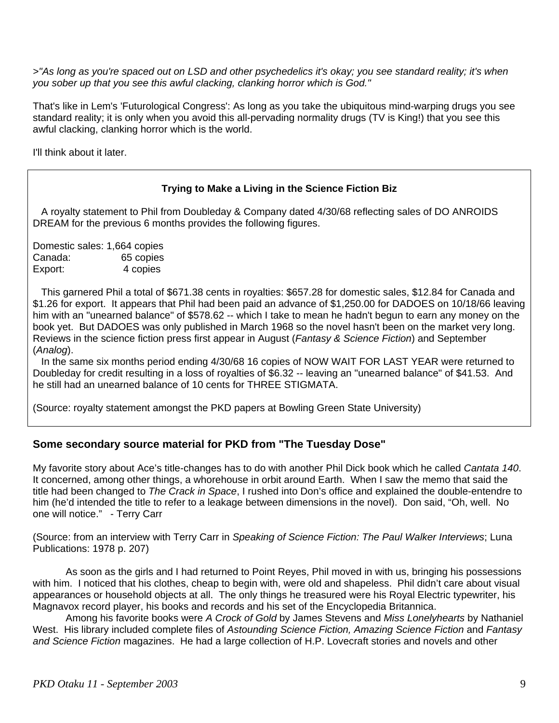*>"As long as you're spaced out on LSD and other psychedelics it's okay; you see standard reality; it's when you sober up that you see this awful clacking, clanking horror which is God."* 

That's like in Lem's 'Futurological Congress': As long as you take the ubiquitous mind-warping drugs you see standard reality; it is only when you avoid this all-pervading normality drugs (TV is King!) that you see this awful clacking, clanking horror which is the world.

I'll think about it later.

## **Trying to Make a Living in the Science Fiction Biz**

 A royalty statement to Phil from Doubleday & Company dated 4/30/68 reflecting sales of DO ANROIDS DREAM for the previous 6 months provides the following figures.

Domestic sales: 1,664 copies Canada: 65 copies Export: 4 copies

 This garnered Phil a total of \$671.38 cents in royalties: \$657.28 for domestic sales, \$12.84 for Canada and \$1.26 for export. It appears that Phil had been paid an advance of \$1,250.00 for DADOES on 10/18/66 leaving him with an "unearned balance" of \$578.62 -- which I take to mean he hadn't begun to earn any money on the book yet. But DADOES was only published in March 1968 so the novel hasn't been on the market very long. Reviews in the science fiction press first appear in August (*Fantasy & Science Fiction*) and September (*Analog*).

 In the same six months period ending 4/30/68 16 copies of NOW WAIT FOR LAST YEAR were returned to Doubleday for credit resulting in a loss of royalties of \$6.32 -- leaving an "unearned balance" of \$41.53. And he still had an unearned balance of 10 cents for THREE STIGMATA.

(Source: royalty statement amongst the PKD papers at Bowling Green State University)

# **Some secondary source material for PKD from "The Tuesday Dose"**

My favorite story about Ace's title-changes has to do with another Phil Dick book which he called *Cantata 140*. It concerned, among other things, a whorehouse in orbit around Earth. When I saw the memo that said the title had been changed to *The Crack in Space*, I rushed into Don's office and explained the double-entendre to him (he'd intended the title to refer to a leakage between dimensions in the novel). Don said, "Oh, well. No one will notice." - Terry Carr

(Source: from an interview with Terry Carr in *Speaking of Science Fiction: The Paul Walker Interviews*; Luna Publications: 1978 p. 207)

 As soon as the girls and I had returned to Point Reyes, Phil moved in with us, bringing his possessions with him. I noticed that his clothes, cheap to begin with, were old and shapeless. Phil didn't care about visual appearances or household objects at all. The only things he treasured were his Royal Electric typewriter, his Magnavox record player, his books and records and his set of the Encyclopedia Britannica.

 Among his favorite books were *A Crock of Gold* by James Stevens and *Miss Lonelyhearts* by Nathaniel West. His library included complete files of *Astounding Science Fiction, Amazing Science Fiction* and *Fantasy and Science Fiction* magazines. He had a large collection of H.P. Lovecraft stories and novels and other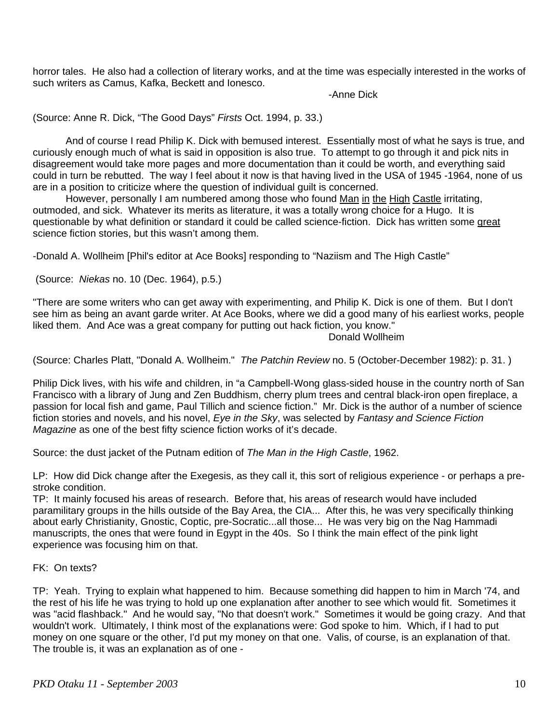horror tales. He also had a collection of literary works, and at the time was especially interested in the works of such writers as Camus, Kafka, Beckett and Ionesco.

-Anne Dick

(Source: Anne R. Dick, "The Good Days" *Firsts* Oct. 1994, p. 33.)

 And of course I read Philip K. Dick with bemused interest. Essentially most of what he says is true, and curiously enough much of what is said in opposition is also true. To attempt to go through it and pick nits in disagreement would take more pages and more documentation than it could be worth, and everything said could in turn be rebutted. The way I feel about it now is that having lived in the USA of 1945 -1964, none of us are in a position to criticize where the question of individual guilt is concerned.

 However, personally I am numbered among those who found Man in the High Castle irritating, outmoded, and sick. Whatever its merits as literature, it was a totally wrong choice for a Hugo. It is questionable by what definition or standard it could be called science-fiction. Dick has written some great science fiction stories, but this wasn't among them.

-Donald A. Wollheim [Phil's editor at Ace Books] responding to "Naziism and The High Castle"

(Source: *Niekas* no. 10 (Dec. 1964), p.5.)

"There are some writers who can get away with experimenting, and Philip K. Dick is one of them. But I don't see him as being an avant garde writer. At Ace Books, where we did a good many of his earliest works, people liked them. And Ace was a great company for putting out hack fiction, you know."

Donald Wollheim

(Source: Charles Platt, "Donald A. Wollheim." *The Patchin Review* no. 5 (October-December 1982): p. 31. )

Philip Dick lives, with his wife and children, in "a Campbell-Wong glass-sided house in the country north of San Francisco with a library of Jung and Zen Buddhism, cherry plum trees and central black-iron open fireplace, a passion for local fish and game, Paul Tillich and science fiction." Mr. Dick is the author of a number of science fiction stories and novels, and his novel, *Eye in the Sky*, was selected by *Fantasy and Science Fiction Magazine* as one of the best fifty science fiction works of it's decade.

Source: the dust jacket of the Putnam edition of *The Man in the High Castle*, 1962.

LP: How did Dick change after the Exegesis, as they call it, this sort of religious experience - or perhaps a prestroke condition.

TP: It mainly focused his areas of research. Before that, his areas of research would have included paramilitary groups in the hills outside of the Bay Area, the CIA... After this, he was very specifically thinking about early Christianity, Gnostic, Coptic, pre-Socratic...all those... He was very big on the Nag Hammadi manuscripts, the ones that were found in Egypt in the 40s. So I think the main effect of the pink light experience was focusing him on that.

## FK: On texts?

TP: Yeah. Trying to explain what happened to him. Because something did happen to him in March '74, and the rest of his life he was trying to hold up one explanation after another to see which would fit. Sometimes it was "acid flashback." And he would say, "No that doesn't work." Sometimes it would be going crazy. And that wouldn't work. Ultimately, I think most of the explanations were: God spoke to him. Which, if I had to put money on one square or the other, I'd put my money on that one. Valis, of course, is an explanation of that. The trouble is, it was an explanation as of one -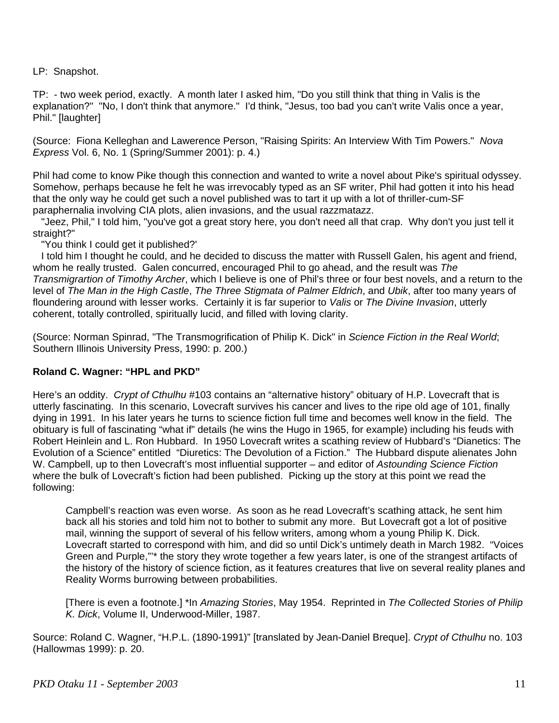LP: Snapshot.

TP: - two week period, exactly. A month later I asked him, "Do you still think that thing in Valis is the explanation?" "No, I don't think that anymore." I'd think, "Jesus, too bad you can't write Valis once a year, Phil." Ilaughter]

(Source: Fiona Kelleghan and Lawerence Person, "Raising Spirits: An Interview With Tim Powers." *Nova Express* Vol. 6, No. 1 (Spring/Summer 2001): p. 4.)

Phil had come to know Pike though this connection and wanted to write a novel about Pike's spiritual odyssey. Somehow, perhaps because he felt he was irrevocably typed as an SF writer, Phil had gotten it into his head that the only way he could get such a novel published was to tart it up with a lot of thriller-cum-SF paraphernalia involving CIA plots, alien invasions, and the usual razzmatazz.

 "Jeez, Phil," I told him, "you've got a great story here, you don't need all that crap. Why don't you just tell it straight?"

"You think I could get it published?'

 I told him I thought he could, and he decided to discuss the matter with Russell Galen, his agent and friend, whom he really trusted. Galen concurred, encouraged Phil to go ahead, and the result was *The Transmigrartion of Timothy Archer*, which I believe is one of Phil's three or four best novels, and a return to the level of *The Man in the High Castle*, *The Three Stigmata of Palmer Eldrich*, and *Ubik*, after too many years of floundering around with lesser works. Certainly it is far superior to *Valis* or *The Divine Invasion*, utterly coherent, totally controlled, spiritually lucid, and filled with loving clarity.

(Source: Norman Spinrad, "The Transmogrification of Philip K. Dick" in *Science Fiction in the Real World*; Southern Illinois University Press, 1990: p. 200.)

## **Roland C. Wagner: "HPL and PKD"**

Here's an oddity. *Crypt of Cthulhu* #103 contains an "alternative history" obituary of H.P. Lovecraft that is utterly fascinating. In this scenario, Lovecraft survives his cancer and lives to the ripe old age of 101, finally dying in 1991. In his later years he turns to science fiction full time and becomes well know in the field. The obituary is full of fascinating "what if" details (he wins the Hugo in 1965, for example) including his feuds with Robert Heinlein and L. Ron Hubbard. In 1950 Lovecraft writes a scathing review of Hubbard's "Dianetics: The Evolution of a Science" entitled "Diuretics: The Devolution of a Fiction." The Hubbard dispute alienates John W. Campbell, up to then Lovecraft's most influential supporter – and editor of *Astounding Science Fiction*  where the bulk of Lovecraft's fiction had been published. Picking up the story at this point we read the following:

Campbell's reaction was even worse. As soon as he read Lovecraft's scathing attack, he sent him back all his stories and told him not to bother to submit any more. But Lovecraft got a lot of positive mail, winning the support of several of his fellow writers, among whom a young Philip K. Dick. Lovecraft started to correspond with him, and did so until Dick's untimely death in March 1982. "Voices Green and Purple,"'\* the story they wrote together a few years later, is one of the strangest artifacts of the history of the history of science fiction, as it features creatures that live on several reality planes and Reality Worms burrowing between probabilities.

[There is even a footnote.] \*In *Amazing Stories*, May 1954. Reprinted in *The Collected Stories of Philip K. Dick*, Volume II, Underwood-Miller, 1987.

Source: Roland C. Wagner, "H.P.L. (1890-1991)" [translated by Jean-Daniel Breque]. *Crypt of Cthulhu* no. 103 (Hallowmas 1999): p. 20.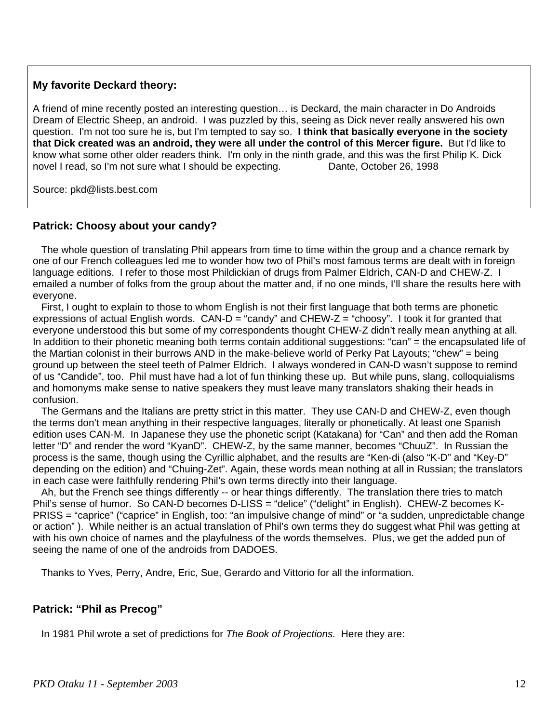## **My favorite Deckard theory:**

A friend of mine recently posted an interesting question… is Deckard, the main character in Do Androids Dream of Electric Sheep, an android. I was puzzled by this, seeing as Dick never really answered his own question. I'm not too sure he is, but I'm tempted to say so. **I think that basically everyone in the society that Dick created was an android, they were all under the control of this Mercer figure.** But I'd like to know what some other older readers think. I'm only in the ninth grade, and this was the first Philip K. Dick novel I read, so I'm not sure what I should be expecting. Dante, October 26, 1998

Source: pkd@lists.best.com

# **Patrick: Choosy about your candy?**

 The whole question of translating Phil appears from time to time within the group and a chance remark by one of our French colleagues led me to wonder how two of Phil's most famous terms are dealt with in foreign language editions. I refer to those most Phildickian of drugs from Palmer Eldrich, CAN-D and CHEW-Z. I emailed a number of folks from the group about the matter and, if no one minds, I'll share the results here with everyone.

 First, I ought to explain to those to whom English is not their first language that both terms are phonetic expressions of actual English words.  $CAN-D =$  "candy" and  $CHEW-Z =$  "choosy". I took it for granted that everyone understood this but some of my correspondents thought CHEW-Z didn't really mean anything at all. In addition to their phonetic meaning both terms contain additional suggestions: "can" = the encapsulated life of the Martian colonist in their burrows AND in the make-believe world of Perky Pat Layouts; "chew" = being ground up between the steel teeth of Palmer Eldrich. I always wondered in CAN-D wasn't suppose to remind of us "Candide", too. Phil must have had a lot of fun thinking these up. But while puns, slang, colloquialisms and homonyms make sense to native speakers they must leave many translators shaking their heads in confusion.

 The Germans and the Italians are pretty strict in this matter. They use CAN-D and CHEW-Z, even though the terms don't mean anything in their respective languages, literally or phonetically. At least one Spanish edition uses CAN-M. In Japanese they use the phonetic script (Katakana) for "Can" and then add the Roman letter "D" and render the word "KyanD". CHEW-Z, by the same manner, becomes "ChuuZ". In Russian the process is the same, though using the Cyrillic alphabet, and the results are "Ken-di (also "K-D" and "Key-D" depending on the edition) and "Chuing-Zet". Again, these words mean nothing at all in Russian; the translators in each case were faithfully rendering Phil's own terms directly into their language.

 Ah, but the French see things differently -- or hear things differently. The translation there tries to match Phil's sense of humor. So CAN-D becomes D-LISS = "delice" ("delight" in English). CHEW-Z becomes K-PRISS = "caprice" ("caprice" in English, too: "an impulsive change of mind" or "a sudden, unpredictable change or action" ). While neither is an actual translation of Phil's own terms they do suggest what Phil was getting at with his own choice of names and the playfulness of the words themselves. Plus, we get the added pun of seeing the name of one of the androids from DADOES.

Thanks to Yves, Perry, Andre, Eric, Sue, Gerardo and Vittorio for all the information.

# **Patrick: "Phil as Precog"**

In 1981 Phil wrote a set of predictions for *The Book of Projections.* Here they are: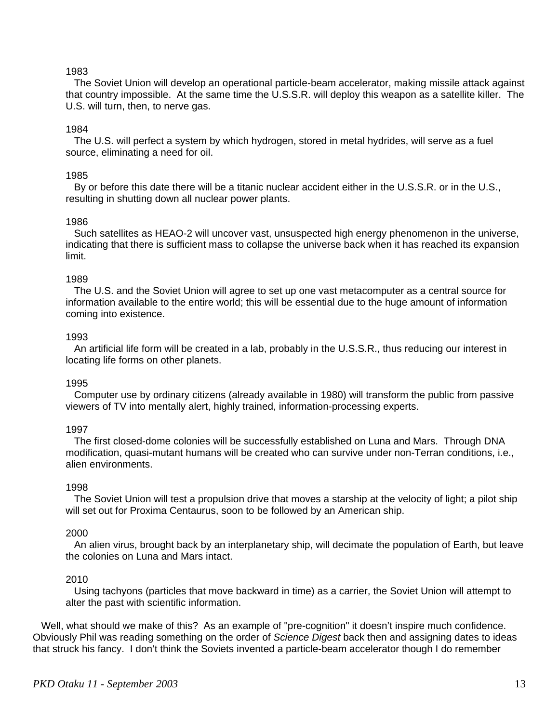#### 1983

 The Soviet Union will develop an operational particle-beam accelerator, making missile attack against that country impossible. At the same time the U.S.S.R. will deploy this weapon as a satellite killer. The U.S. will turn, then, to nerve gas.

#### 1984

 The U.S. will perfect a system by which hydrogen, stored in metal hydrides, will serve as a fuel source, eliminating a need for oil.

#### 1985

 By or before this date there will be a titanic nuclear accident either in the U.S.S.R. or in the U.S., resulting in shutting down all nuclear power plants.

#### 1986

 Such satellites as HEAO-2 will uncover vast, unsuspected high energy phenomenon in the universe, indicating that there is sufficient mass to collapse the universe back when it has reached its expansion limit.

#### 1989

 The U.S. and the Soviet Union will agree to set up one vast metacomputer as a central source for information available to the entire world; this will be essential due to the huge amount of information coming into existence.

#### 1993

 An artificial life form will be created in a lab, probably in the U.S.S.R., thus reducing our interest in locating life forms on other planets.

#### 1995

 Computer use by ordinary citizens (already available in 1980) will transform the public from passive viewers of TV into mentally alert, highly trained, information-processing experts.

## 1997

 The first closed-dome colonies will be successfully established on Luna and Mars. Through DNA modification, quasi-mutant humans will be created who can survive under non-Terran conditions, i.e., alien environments.

## 1998

 The Soviet Union will test a propulsion drive that moves a starship at the velocity of light; a pilot ship will set out for Proxima Centaurus, soon to be followed by an American ship.

#### 2000

 An alien virus, brought back by an interplanetary ship, will decimate the population of Earth, but leave the colonies on Luna and Mars intact.

#### 2010

 Using tachyons (particles that move backward in time) as a carrier, the Soviet Union will attempt to alter the past with scientific information.

 Well, what should we make of this? As an example of "pre-cognition" it doesn't inspire much confidence. Obviously Phil was reading something on the order of *Science Digest* back then and assigning dates to ideas that struck his fancy. I don't think the Soviets invented a particle-beam accelerator though I do remember